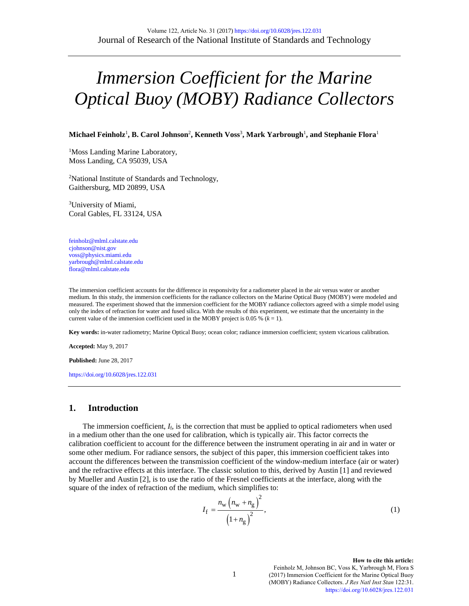# *Immersion Coefficient for the Marine Optical Buoy (MOBY) Radiance Collectors*

**Michael Feinholz**<sup>1</sup> **, B. Carol Johnson**<sup>2</sup> **, Kenneth Voss**<sup>3</sup> **, Mark Yarbrough**<sup>1</sup> **, and Stephanie Flora**<sup>1</sup>

<sup>1</sup>Moss Landing Marine Laboratory, Moss Landing, CA 95039, USA

2 National Institute of Standards and Technology, Gaithersburg, MD 20899, USA

3 University of Miami, Coral Gables, FL 33124, USA

[feinholz@mlml.calstate.edu](mailto:feinholz@mlml.calstate.edu) cjohnson@nist.gov [voss@physics.miami.edu](mailto:voss@physics.miami.edu) yarbrough@mlml.calstate.edu flora@mlml.calstate.edu

The immersion coefficient accounts for the difference in responsivity for a radiometer placed in the air versus water or another medium. In this study, the immersion coefficients for the radiance collectors on the Marine Optical Buoy (MOBY) were modeled and measured. The experiment showed that the immersion coefficient for the MOBY radiance collectors agreed with a simple model using only the index of refraction for water and fused silica. With the results of this experiment, we estimate that the uncertainty in the current value of the immersion coefficient used in the MOBY project is 0.05 %  $(k = 1)$ .

**Key words:** in-water radiometry; Marine Optical Buoy; ocean color; radiance immersion coefficient; system vicarious calibration.

**Accepted:** May 9, 2017

**Published:** June 28, 2017

<https://doi.org/10.6028/jres.122.031>

### **1. Introduction**

The immersion coefficient,  $I_f$ , is the correction that must be applied to optical radiometers when used in a medium other than the one used for calibration, which is typically air. This factor corrects the calibration coefficient to account for the difference between the instrument operating in air and in water or some other medium. For radiance sensors, the subject of this paper, this immersion coefficient takes into account the differences between the transmission coefficient of the window-medium interface (air or water) and the refractive effects at this interface. The classic solution to this, derived by Austin [\[1\]](#page-7-0) and reviewed by Mueller and Austin [\[2\]](#page-7-1), is to use the ratio of the Fresnel coefficients at the interface, along with the square of the index of refraction of the medium, which simplifies to:

$$
I_{\rm f} = \frac{n_{\rm w} (n_{\rm w} + n_{\rm g})^2}{(1 + n_{\rm g})^2},\tag{1}
$$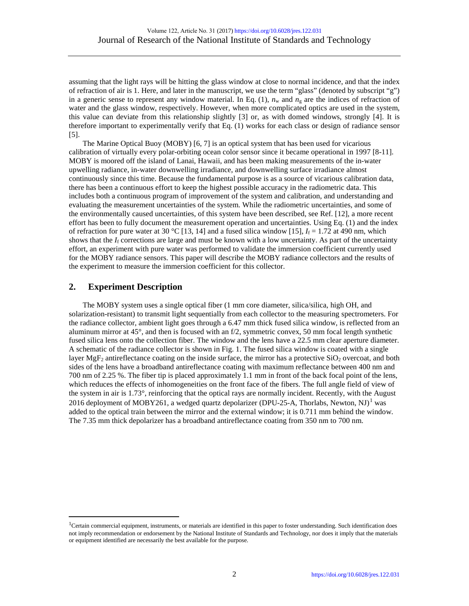assuming that the light rays will be hitting the glass window at close to normal incidence, and that the index of refraction of air is 1. Here, and later in the manuscript, we use the term "glass" (denoted by subscript "g") in a generic sense to represent any window material. In Eq. (1),  $n_w$  and  $n_g$  are the indices of refraction of water and the glass window, respectively. However, when more complicated optics are used in the system, this value can deviate from this relationship slightly [\[3\]](#page-8-0) or, as with domed windows, strongly [\[4\]](#page-8-1). It is therefore important to experimentally verify that Eq. (1) works for each class or design of radiance sensor [\[5\]](#page-8-2).

The Marine Optical Buoy (MOBY) [\[6,](#page-8-3) [7\]](#page-8-4) is an optical system that has been used for vicarious calibration of virtually every polar-orbiting ocean color sensor since it became operational in 1997 [\[8-11\]](#page-8-5). MOBY is moored off the island of Lanai, Hawaii, and has been making measurements of the in-water upwelling radiance, in-water downwelling irradiance, and downwelling surface irradiance almost continuously since this time. Because the fundamental purpose is as a source of vicarious calibration data, there has been a continuous effort to keep the highest possible accuracy in the radiometric data. This includes both a continuous program of improvement of the system and calibration, and understanding and evaluating the measurement uncertainties of the system. While the radiometric uncertainties, and some of the environmentally caused uncertainties, of this system have been described, see Ref. [\[12\]](#page-8-6), a more recent effort has been to fully document the measurement operation and uncertainties. Using Eq. (1) and the index of refraction for pure water at 30 °C [\[13,](#page-8-7) [14\]](#page-8-8) and a fused silica window [\[15\]](#page-8-9),  $I_f = 1.72$  at 490 nm, which shows that the  $I_f$  corrections are large and must be known with a low uncertainty. As part of the uncertainty effort, an experiment with pure water was performed to validate the immersion coefficient currently used for the MOBY radiance sensors. This paper will describe the MOBY radiance collectors and the results of the experiment to measure the immersion coefficient for this collector.

## **2. Experiment Description**

The MOBY system uses a single optical fiber (1 mm core diameter, silica/silica, high OH, and solarization-resistant) to transmit light sequentially from each collector to the measuring spectrometers. For the radiance collector, ambient light goes through a 6.47 mm thick fused silica window, is reflected from an aluminum mirror at 45°, and then is focused with an f/2, symmetric convex, 50 mm focal length synthetic fused silica lens onto the collection fiber. The window and the lens have a 22.5 mm clear aperture diameter. A schematic of the radiance collector is shown in Fig. 1. The fused silica window is coated with a single layer MgF<sub>2</sub> antireflectance coating on the inside surface, the mirror has a protective  $SiO<sub>2</sub>$  overcoat, and both sides of the lens have a broadband antireflectance coating with maximum reflectance between 400 nm and 700 nm of 2.25 %. The fiber tip is placed approximately 1.1 mm in front of the back focal point of the lens, which reduces the effects of inhomogeneities on the front face of the fibers. The full angle field of view of the system in air is 1.73°, reinforcing that the optical rays are normally incident. Recently, with the August 20[1](#page-1-0)6 deployment of MOBY261, a wedged quartz depolarizer (DPU-25-A, Thorlabs, Newton, NJ)<sup>1</sup> was added to the optical train between the mirror and the external window; it is 0.711 mm behind the window. The 7.35 mm thick depolarizer has a broadband antireflectance coating from 350 nm to 700 nm.

<span id="page-1-0"></span><sup>&</sup>lt;sup>1</sup>Certain commercial equipment, instruments, or materials are identified in this paper to foster understanding. Such identification does not imply recommendation or endorsement by the National Institute of Standards and Technology, nor does it imply that the materials or equipment identified are necessarily the best available for the purpose.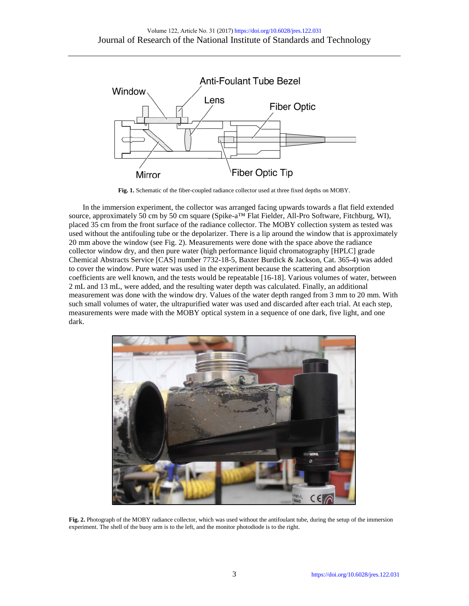

**Fig. 1.** Schematic of the fiber-coupled radiance collector used at three fixed depths on MOBY.

In the immersion experiment, the collector was arranged facing upwards towards a flat field extended source, approximately 50 cm by 50 cm square (Spike-a<sup>™</sup> Flat Fielder, All-Pro Software, Fitchburg, WI), placed 35 cm from the front surface of the radiance collector. The MOBY collection system as tested was used without the antifouling tube or the depolarizer. There is a lip around the window that is approximately 20 mm above the window (see Fig. 2). Measurements were done with the space above the radiance collector window dry, and then pure water (high performance liquid chromatography [HPLC] grade Chemical Abstracts Service [CAS] number 7732-18-5, Baxter Burdick & Jackson, Cat. 365-4) was added to cover the window. Pure water was used in the experiment because the scattering and absorption coefficients are well known, and the tests would be repeatable [\[16-18\]](#page-8-10). Various volumes of water, between 2 mL and 13 mL, were added, and the resulting water depth was calculated. Finally, an additional measurement was done with the window dry. Values of the water depth ranged from 3 mm to 20 mm. With such small volumes of water, the ultrapurified water was used and discarded after each trial. At each step, measurements were made with the MOBY optical system in a sequence of one dark, five light, and one dark.



Fig. 2. Photograph of the MOBY radiance collector, which was used without the antifoulant tube, during the setup of the immersion experiment. The shell of the buoy arm is to the left, and the monitor photodiode is to the right.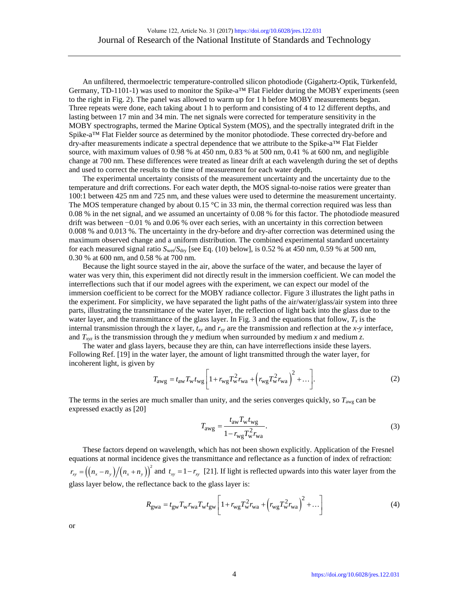An unfiltered, thermoelectric temperature-controlled silicon photodiode (Gigahertz-Optik, Türkenfeld, Germany, TD-1101-1) was used to monitor the Spike-a<sup>TM</sup> Flat Fielder during the MOBY experiments (seen to the right in Fig. 2). The panel was allowed to warm up for 1 h before MOBY measurements began. Three repeats were done, each taking about 1 h to perform and consisting of 4 to 12 different depths, and lasting between 17 min and 34 min. The net signals were corrected for temperature sensitivity in the MOBY spectrographs, termed the Marine Optical System (MOS), and the spectrally integrated drift in the Spike-a™ Flat Fielder source as determined by the monitor photodiode. These corrected dry-before and dry-after measurements indicate a spectral dependence that we attribute to the Spike-a™ Flat Fielder source, with maximum values of 0.98 % at 450 nm, 0.83 % at 500 nm, 0.41 % at 600 nm, and negligible change at 700 nm. These differences were treated as linear drift at each wavelength during the set of depths and used to correct the results to the time of measurement for each water depth.

The experimental uncertainty consists of the measurement uncertainty and the uncertainty due to the temperature and drift corrections. For each water depth, the MOS signal-to-noise ratios were greater than 100:1 between 425 nm and 725 nm, and these values were used to determine the measurement uncertainty. The MOS temperature changed by about  $0.15 \degree C$  in 33 min, the thermal correction required was less than 0.08 % in the net signal, and we assumed an uncertainty of 0.08 % for this factor. The photodiode measured drift was between −0.01 % and 0.06 % over each series, with an uncertainty in this correction between 0.008 % and 0.013 %. The uncertainty in the dry-before and dry-after correction was determined using the maximum observed change and a uniform distribution. The combined experimental standard uncertainty for each measured signal ratio  $S_{\text{w}e}/S_{\text{dry}}$  [see Eq. (10) below], is 0.52 % at 450 nm, 0.59 % at 500 nm, 0.30 % at 600 nm, and 0.58 % at 700 nm.

Because the light source stayed in the air, above the surface of the water, and because the layer of water was very thin, this experiment did not directly result in the immersion coefficient. We can model the interreflections such that if our model agrees with the experiment, we can expect our model of the immersion coefficient to be correct for the MOBY radiance collector. Figure 3 illustrates the light paths in the experiment. For simplicity, we have separated the light paths of the air/water/glass/air system into three parts, illustrating the transmittance of the water layer, the reflection of light back into the glass due to the water layer, and the transmittance of the glass layer. In Fig. 3 and the equations that follow,  $T_x$  is the internal transmission through the *x* layer,  $t_{xy}$  and  $r_{xy}$  are the transmission and reflection at the *x*-*y* interface, and  $T_{xyz}$  is the transmission through the *y* medium when surrounded by medium *x* and medium *z*.

The water and glass layers, because they are thin, can have interreflections inside these layers. Following Ref. [\[19\]](#page-8-11) in the water layer, the amount of light transmitted through the water layer, for incoherent light, is given by

$$
T_{\text{avg}} = t_{\text{aw}} T_{\text{w}} t_{\text{wg}} \left[ 1 + r_{\text{wg}} T_{\text{w}}^2 r_{\text{wa}} + \left( r_{\text{wg}} T_{\text{w}}^2 r_{\text{wa}} \right)^2 + \dots \right]. \tag{2}
$$

The terms in the series are much smaller than unity, and the series converges quickly, so *T*awg can be expressed exactly as [\[20\]](#page-8-12)

$$
T_{\text{awg}} = \frac{t_{\text{aw}} T_{\text{w}} t_{\text{wg}}}{1 - r_{\text{wg}} T_{\text{w}}^2 r_{\text{wa}}}.\tag{3}
$$

These factors depend on wavelength, which has not been shown explicitly. Application of the Fresnel equations at normal incidence gives the transmittance and reflectance as a function of index of refraction:  $r_{xy} = ((n_x - n_y)/(n_x + n_y))^2$  and  $t_{xy} = 1 - r_{xy}$  [\[21\]](#page-8-13). If light is reflected upwards into this water layer from the glass layer below, the reflectance back to the glass layer is:

$$
R_{\rm gwa} = t_{\rm gw} T_{\rm w} r_{\rm wa} T_{\rm w} t_{\rm gw} \left[ 1 + r_{\rm wg} T_{\rm w}^2 r_{\rm wa} + \left( r_{\rm wg} T_{\rm w}^2 r_{\rm wa} \right)^2 + \dots \right] \tag{4}
$$

or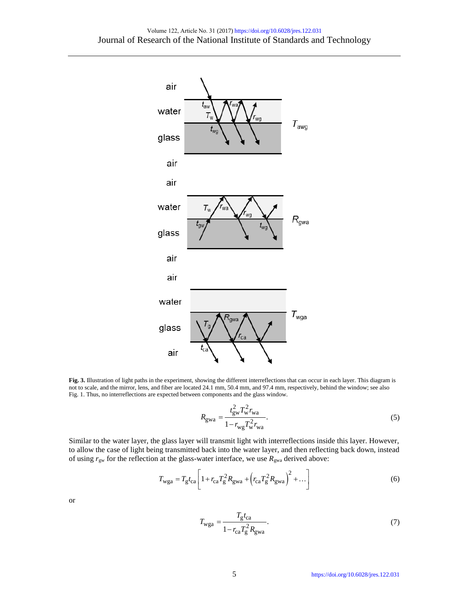

**Fig. 3.** Illustration of light paths in the experiment, showing the different interreflections that can occur in each layer. This diagram is not to scale, and the mirror, lens, and fiber are located 24.1 mm, 50.4 mm, and 97.4 mm, respectively, behind the window; see also Fig. 1. Thus, no interreflections are expected between components and the glass window.

$$
R_{\rm gwa} = \frac{t_{\rm gw}^2 T_{\rm w}^2 r_{\rm wa}}{1 - r_{\rm wg} T_{\rm w}^2 r_{\rm wa}}.
$$
 (5)

Similar to the water layer, the glass layer will transmit light with interreflections inside this layer. However, to allow the case of light being transmitted back into the water layer, and then reflecting back down, instead of using  $r_{gw}$  for the reflection at the glass-water interface, we use  $R_{gw}$  derived above:

$$
T_{\rm wga} = T_{\rm g} t_{\rm ca} \left[ 1 + r_{\rm ca} T_{\rm g}^2 R_{\rm gwa} + \left( r_{\rm ca} T_{\rm g}^2 R_{\rm gwa} \right)^2 + \dots \right] \tag{6}
$$

or

$$
T_{\text{wga}} = \frac{T_{\text{g}}t_{\text{ca}}}{1 - r_{\text{ca}}T_{\text{g}}^2 R_{\text{gwa}}}.\tag{7}
$$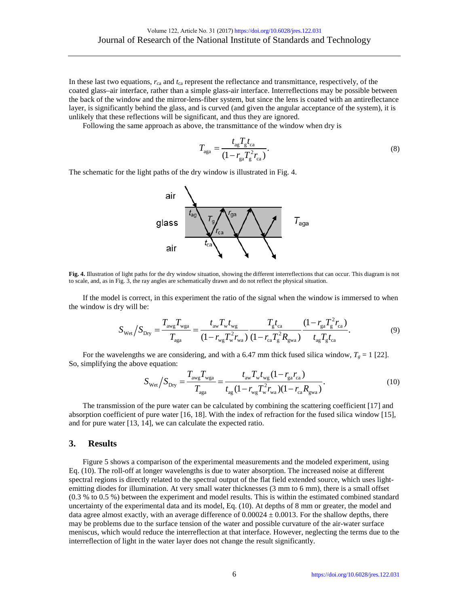In these last two equations,  $r_{ca}$  and  $t_{ca}$  represent the reflectance and transmittance, respectively, of the coated glass–air interface, rather than a simple glass-air interface. Interreflections may be possible between the back of the window and the mirror-lens-fiber system, but since the lens is coated with an antireflectance layer, is significantly behind the glass, and is curved (and given the angular acceptance of the system), it is unlikely that these reflections will be significant, and thus they are ignored.

Following the same approach as above, the transmittance of the window when dry is

$$
T_{\rm aga} = \frac{t_{\rm ag} T_{\rm g} t_{\rm ca}}{(1 - r_{\rm ga} T_{\rm g}^2 r_{\rm ca})}.
$$
\n(8)

The schematic for the light paths of the dry window is illustrated in Fig. 4.



**Fig. 4.** Illustration of light paths for the dry window situation, showing the different interreflections that can occur. This diagram is not to scale, and, as in Fig. 3, the ray angles are schematically drawn and do not reflect the physical situation.

If the model is correct, in this experiment the ratio of the signal when the window is immersed to when the window is dry will be:

$$
S_{\text{Wet}}/S_{\text{Dry}} = \frac{T_{\text{avg}}T_{\text{wga}}}{T_{\text{aga}}} = \frac{t_{\text{av}}T_{\text{w}}t_{\text{wg}}}{(1 - r_{\text{wg}}T_{\text{w}}^2 r_{\text{wa}})} \frac{T_{\text{g}}t_{\text{ca}}}{(1 - r_{\text{ca}}T_{\text{g}}^2 R_{\text{gwa}})} \frac{(1 - r_{\text{ga}}T_{\text{g}}^2 r_{\text{ca}})}{t_{\text{ag}}T_{\text{g}}t_{\text{ca}}}. \tag{9}
$$

For the wavelengths we are considering, and with a 6.47 mm thick fused silica window,  $T_g = 1$  [\[22\]](#page-8-14). So, simplifying the above equation:

$$
S_{\text{Wet}}/S_{\text{Dry}} = \frac{T_{\text{avg}}T_{\text{wga}}}{T_{\text{aga}}} = \frac{t_{\text{aw}}T_{\text{w}}t_{\text{wg}}(1 - r_{\text{ga}}r_{\text{ca}})}{t_{\text{ag}}(1 - r_{\text{wg}}T_{\text{w}}^2r_{\text{wa}})(1 - r_{\text{ca}}R_{\text{gwa}})}.
$$
(10)

The transmission of the pure water can be calculated by combining the scattering coefficient [\[17\]](#page-8-15) and absorption coefficient of pure water [\[16,](#page-8-10) [18\]](#page-8-16). With the index of refraction for the fused silica window [\[15\]](#page-8-9), and for pure water [\[13,](#page-8-7) [14\]](#page-8-8), we can calculate the expected ratio.

#### **3. Results**

Figure 5 shows a comparison of the experimental measurements and the modeled experiment, using Eq. (10). The roll-off at longer wavelengths is due to water absorption. The increased noise at different spectral regions is directly related to the spectral output of the flat field extended source, which uses lightemitting diodes for illumination. At very small water thicknesses (3 mm to 6 mm), there is a small offset (0.3 % to 0.5 %) between the experiment and model results. This is within the estimated combined standard uncertainty of the experimental data and its model, Eq. (10). At depths of 8 mm or greater, the model and data agree almost exactly, with an average difference of  $0.00024 \pm 0.0013$ . For the shallow depths, there may be problems due to the surface tension of the water and possible curvature of the air-water surface meniscus, which would reduce the interreflection at that interface. However, neglecting the terms due to the interreflection of light in the water layer does not change the result significantly.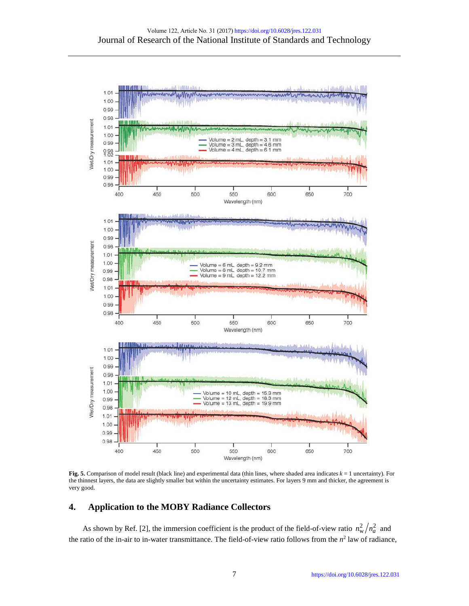

**Fig. 5.** Comparison of model result (black line) and experimental data (thin lines, where shaded area indicates *k* = 1 uncertainty). For the thinnest layers, the data are slightly smaller but within the uncertainty estimates. For layers 9 mm and thicker, the agreement is very good.

#### **4. Application to the MOBY Radiance Collectors**

As shown by Ref. [\[2\]](#page-7-1), the immersion coefficient is the product of the field-of-view ratio  $n_w^2/n_a^2$  and the ratio of the in-air to in-water transmittance. The field-of-view ratio follows from the  $n^2$  law of radiance,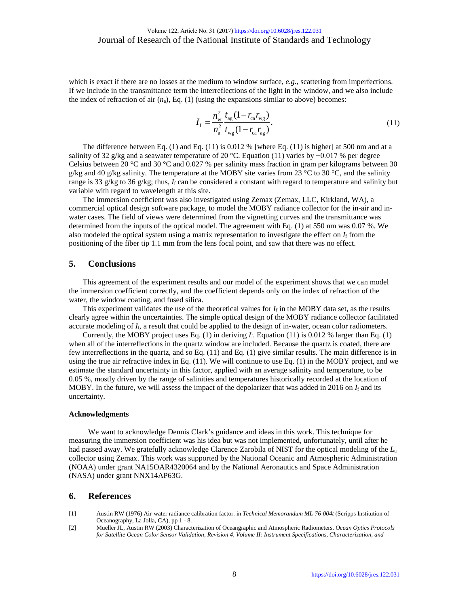which is exact if there are no losses at the medium to window surface, *e.g.*, scattering from imperfections. If we include in the transmittance term the interreflections of the light in the window, and we also include the index of refraction of air  $(n_a)$ , Eq. (1) (using the expansions similar to above) becomes:

$$
I_{\rm f} = \frac{n_{\rm w}^2}{n_{\rm a}^2} \frac{t_{\rm ag} (1 - r_{\rm ca} r_{\rm wg})}{t_{\rm wg} (1 - r_{\rm ca} r_{\rm ag})}.
$$
 (11)

The difference between Eq. (1) and Eq. (11) is 0.012 % [where Eq. (11) is higher] at 500 nm and at a salinity of 32 g/kg and a seawater temperature of 20 °C. Equation (11) varies by  $-0.017$  % per degree Celsius between 20 °C and 30 °C and 0.027 % per salinity mass fraction in gram per kilograms between 30 g/kg and 40 g/kg salinity. The temperature at the MOBY site varies from 23 °C to 30 °C, and the salinity range is 33 g/kg to 36 g/kg; thus,  $I_f$  can be considered a constant with regard to temperature and salinity but variable with regard to wavelength at this site.

The immersion coefficient was also investigated using Zemax (Zemax, LLC, Kirkland, WA), a commercial optical design software package, to model the MOBY radiance collector for the in-air and inwater cases. The field of views were determined from the vignetting curves and the transmittance was determined from the inputs of the optical model. The agreement with Eq. (1) at 550 nm was 0.07 %. We also modeled the optical system using a matrix representation to investigate the effect on *I*<sup>f</sup> from the positioning of the fiber tip 1.1 mm from the lens focal point, and saw that there was no effect.

#### **5. Conclusions**

This agreement of the experiment results and our model of the experiment shows that we can model the immersion coefficient correctly, and the coefficient depends only on the index of refraction of the water, the window coating, and fused silica.

This experiment validates the use of the theoretical values for  $I_f$  in the MOBY data set, as the results clearly agree within the uncertainties. The simple optical design of the MOBY radiance collector facilitated accurate modeling of *I*f, a result that could be applied to the design of in-water, ocean color radiometers.

Currently, the MOBY project uses Eq. (1) in deriving *I*f. Equation (11) is 0.012 % larger than Eq. (1) when all of the interreflections in the quartz window are included. Because the quartz is coated, there are few interreflections in the quartz, and so Eq. (11) and Eq. (1) give similar results. The main difference is in using the true air refractive index in Eq.  $(11)$ . We will continue to use Eq.  $(1)$  in the MOBY project, and we estimate the standard uncertainty in this factor, applied with an average salinity and temperature, to be 0.05 %, mostly driven by the range of salinities and temperatures historically recorded at the location of MOBY. In the future, we will assess the impact of the depolarizer that was added in 2016 on  $I_f$  and its uncertainty.

#### **Acknowledgments**

We want to acknowledge Dennis Clark's guidance and ideas in this work. This technique for measuring the immersion coefficient was his idea but was not implemented, unfortunately, until after he had passed away. We gratefully acknowledge Clarence Zarobila of NIST for the optical modeling of the *L*<sup>u</sup> collector using Zemax. This work was supported by the National Oceanic and Atmospheric Administration (NOAA) under grant NA15OAR4320064 and by the National Aeronautics and Space Administration (NASA) under grant NNX14AP63G.

#### **6. References**

- <span id="page-7-0"></span>[1] Austin RW (1976) Air-water radiance calibration factor. in *Technical Memorandum ML-76-004t* (Scripps Institution of Oceanography, La Jolla, CA), pp 1 - 8.
- <span id="page-7-1"></span>[2] Mueller JL, Austin RW (2003) Characterization of Oceangraphic and Atmospheric Radiometers. *Ocean Optics Protocols for Satellite Ocean Color Sensor Validation, Revision 4, Volume II: Instrument Specifications, Characterization, and*